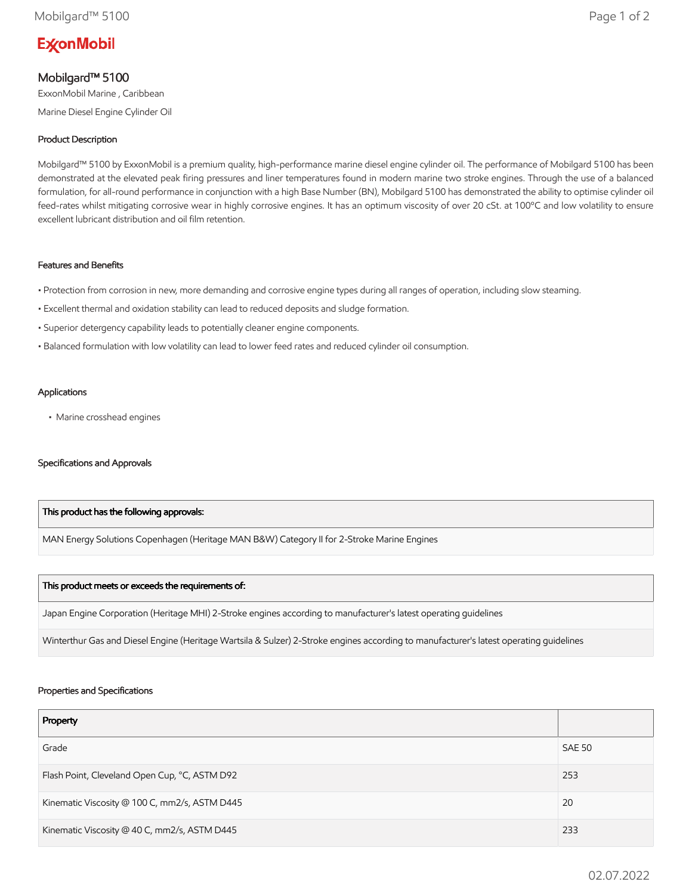# **ExconMobil**

## Mobilgard™ 5100

ExxonMobil Marine , Caribbean Marine Diesel Engine Cylinder Oil

### Product Description

Mobilgard™ 5100 by ExxonMobil is a premium quality, high-performance marine diesel engine cylinder oil. The performance of Mobilgard 5100 has been demonstrated at the elevated peak firing pressures and liner temperatures found in modern marine two stroke engines. Through the use of a balanced formulation, for all-round performance in conjunction with a high Base Number (BN), Mobilgard 5100 has demonstrated the ability to optimise cylinder oil feed-rates whilst mitigating corrosive wear in highly corrosive engines. It has an optimum viscosity of over 20 cSt. at 100ºC and low volatility to ensure excellent lubricant distribution and oil film retention.

#### Features and Benefits

- Protection from corrosion in new, more demanding and corrosive engine types during all ranges of operation, including slow steaming.
- Excellent thermal and oxidation stability can lead to reduced deposits and sludge formation.
- Superior detergency capability leads to potentially cleaner engine components.
- Balanced formulation with low volatility can lead to lower feed rates and reduced cylinder oil consumption.

#### Applications

• Marine crosshead engines

#### Specifications and Approvals

#### This product has the following approvals:

MAN Energy Solutions Copenhagen (Heritage MAN B&W) Category II for 2-Stroke Marine Engines

#### This product meets or exceeds the requirements of:

Japan Engine Corporation (Heritage MHI) 2-Stroke engines according to manufacturer's latest operating guidelines

Winterthur Gas and Diesel Engine (Heritage Wartsila & Sulzer) 2-Stroke engines according to manufacturer's latest operating guidelines

#### Properties and Specifications

| Property                                      |               |
|-----------------------------------------------|---------------|
| Grade                                         | <b>SAE 50</b> |
| Flash Point, Cleveland Open Cup, °C, ASTM D92 | 253           |
| Kinematic Viscosity @ 100 C, mm2/s, ASTM D445 | 20            |
| Kinematic Viscosity @ 40 C, mm2/s, ASTM D445  | 233           |